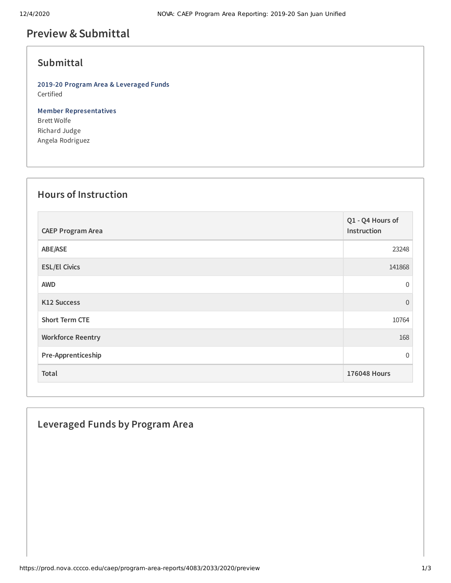# **Preview &Submittal**

#### **Submittal**

**2019-20 Program Area & Leveraged Funds** Certified

**Member Representatives** Brett Wolfe Richard Judge Angela Rodriguez

# **Hours of Instruction**

| <b>CAEP Program Area</b> | Q1 - Q4 Hours of<br>Instruction |
|--------------------------|---------------------------------|
| ABE/ASE                  | 23248                           |
| <b>ESL/El Civics</b>     | 141868                          |
| <b>AWD</b>               | $\mathbf 0$                     |
| K12 Success              | $\overline{0}$                  |
| <b>Short Term CTE</b>    | 10764                           |
| <b>Workforce Reentry</b> | 168                             |
| Pre-Apprenticeship       | $\overline{0}$                  |
| Total                    | <b>176048 Hours</b>             |

### **Leveraged Funds by Program Area**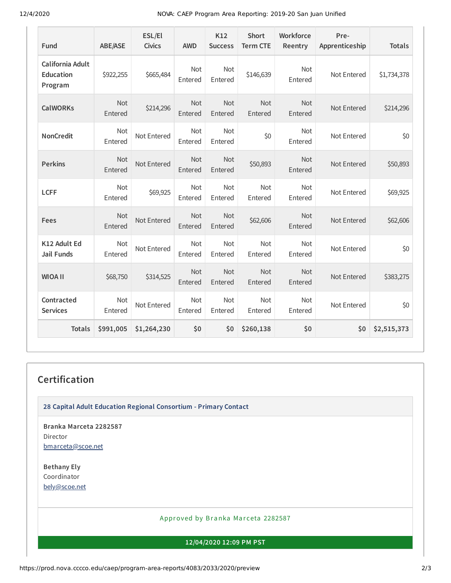12/4/2020 NOVA: CAEP Program Area Reporting: 2019-20 San Juan Unified

| Fund                                            | <b>ABE/ASE</b>        | ESL/El<br><b>Civics</b> | <b>AWD</b>            | K12<br><b>Success</b> | <b>Short</b><br><b>Term CTE</b> | Workforce<br>Reentry  | Pre-<br>Apprenticeship | <b>Totals</b> |
|-------------------------------------------------|-----------------------|-------------------------|-----------------------|-----------------------|---------------------------------|-----------------------|------------------------|---------------|
| California Adult<br><b>Education</b><br>Program | \$922,255             | \$665,484               | <b>Not</b><br>Entered | <b>Not</b><br>Entered | \$146,639                       | <b>Not</b><br>Entered | Not Entered            | \$1,734,378   |
| <b>CalWORKs</b>                                 | <b>Not</b><br>Entered | \$214,296               | <b>Not</b><br>Entered | <b>Not</b><br>Entered | Not<br>Entered                  | <b>Not</b><br>Entered | Not Entered            | \$214,296     |
| <b>NonCredit</b>                                | <b>Not</b><br>Entered | Not Entered             | Not<br>Entered        | <b>Not</b><br>Entered | \$0                             | <b>Not</b><br>Entered | Not Entered            | \$0           |
| <b>Perkins</b>                                  | Not<br>Entered        | Not Entered             | Not<br>Entered        | <b>Not</b><br>Entered | \$50,893                        | <b>Not</b><br>Entered | Not Entered            | \$50,893      |
| <b>LCFF</b>                                     | Not<br>Entered        | \$69,925                | Not<br>Entered        | Not<br>Entered        | Not<br>Entered                  | Not<br>Entered        | Not Entered            | \$69,925      |
| Fees                                            | <b>Not</b><br>Entered | Not Entered             | Not<br>Entered        | <b>Not</b><br>Entered | \$62,606                        | <b>Not</b><br>Entered | Not Entered            | \$62,606      |
| K12 Adult Ed<br><b>Jail Funds</b>               | <b>Not</b><br>Entered | Not Entered             | <b>Not</b><br>Entered | <b>Not</b><br>Entered | <b>Not</b><br>Entered           | <b>Not</b><br>Entered | Not Entered            | \$0           |
| <b>WIOA II</b>                                  | \$68,750              | \$314,525               | Not<br>Entered        | Not<br>Entered        | Not<br>Entered                  | <b>Not</b><br>Entered | Not Entered            | \$383,275     |
| Contracted<br><b>Services</b>                   | <b>Not</b><br>Entered | Not Entered             | Not<br>Entered        | <b>Not</b><br>Entered | <b>Not</b><br>Entered           | <b>Not</b><br>Entered | Not Entered            | \$0           |
| <b>Totals</b>                                   | \$991,005             | \$1,264,230             | \$0                   | \$0                   | \$260,138                       | \$0                   | \$0                    | \$2,515,373   |

# **Certification**

**28 Capital Adult Education Regional Consortium - Primary Contact**

**Branka Marceta 2282587** Director [bmarceta@scoe.net](mailto:bmarceta@scoe.net)

**Bethany Ely** Coordinator [bely@scoe.net](mailto:bely@scoe.net)

Approved by Branka Marceta 2282587

**12/04/2020 12:09 PM PST**